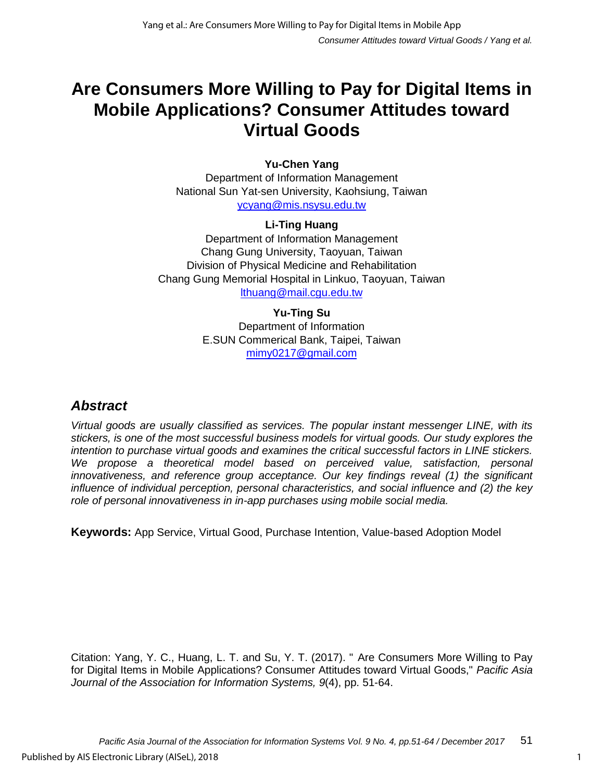# **Are Consumers More Willing to Pay for Digital Items in Mobile Applications? Consumer Attitudes toward Virtual Goods**

#### **Yu-Chen Yang**

Department of Information Management National Sun Yat-sen University, Kaohsiung, Taiwan ycyang@mis.nsysu.edu.tw

#### **Li-Ting Huang**

Department of Information Management Chang Gung University, Taoyuan, Taiwan Division of Physical Medicine and Rehabilitation Chang Gung Memorial Hospital in Linkuo, Taoyuan, Taiwan lthuang@mail.cgu.edu.tw

#### **Yu-Ting Su**

Department of Information E.SUN Commerical Bank, Taipei, Taiwan [mimy0217@gmail.com](mailto:mimy0217@gmail.com)

### *Abstract*

*Virtual goods are usually classified as services. The popular instant messenger LINE, with its stickers, is one of the most successful business models for virtual goods. Our study explores the intention to purchase virtual goods and examines the critical successful factors in LINE stickers.*  We propose a theoretical model based on perceived value, satisfaction, personal *innovativeness, and reference group acceptance. Our key findings reveal (1) the significant influence of individual perception, personal characteristics, and social influence and (2) the key role of personal innovativeness in in-app purchases using mobile social media.*

**Keywords:** App Service, Virtual Good, Purchase Intention, Value-based Adoption Model

Citation: Yang, Y. C., Huang, L. T. and Su, Y. T. (2017). " Are Consumers More Willing to Pay for Digital Items in Mobile Applications? Consumer Attitudes toward Virtual Goods," *Pacific Asia Journal of the Association for Information Systems, 9*(4), pp. 51-64.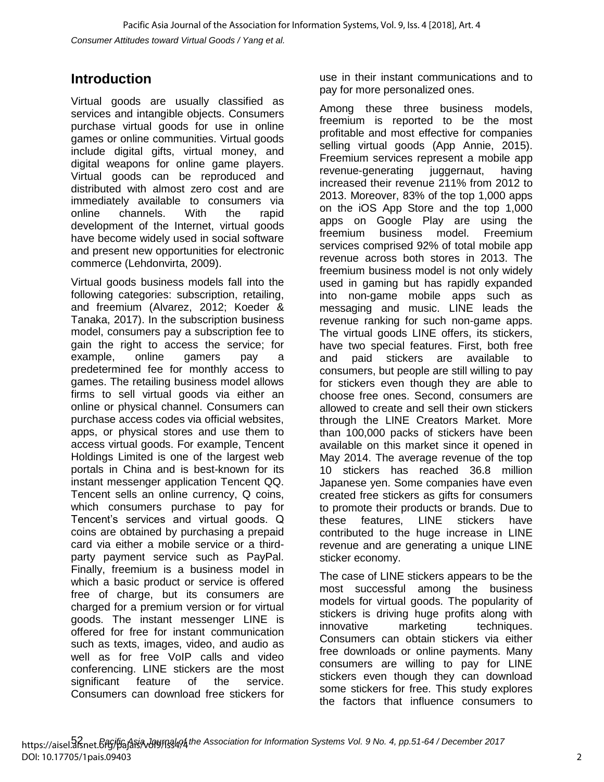### **Introduction**

Virtual goods are usually classified as services and intangible objects. Consumers purchase virtual goods for use in online games or online communities. Virtual goods include digital gifts, virtual money, and digital weapons for online game players. Virtual goods can be reproduced and distributed with almost zero cost and are immediately available to consumers via online channels. With the rapid development of the Internet, virtual goods have become widely used in social software and present new opportunities for electronic commerce (Lehdonvirta, 2009).

Virtual goods business models fall into the following categories: subscription, retailing, and freemium (Alvarez, 2012; Koeder & Tanaka, 2017). In the subscription business model, consumers pay a subscription fee to gain the right to access the service; for example, online gamers pay a predetermined fee for monthly access to games. The retailing business model allows firms to sell virtual goods via either an online or physical channel. Consumers can purchase access codes via official websites, apps, or physical stores and use them to access virtual goods. For example, Tencent Holdings Limited is one of the largest web portals in China and is best-known for its instant messenger application Tencent QQ. Tencent sells an online currency, Q coins, which consumers purchase to pay for Tencent's services and virtual goods. Q coins are obtained by purchasing a prepaid card via either a mobile service or a thirdparty payment service such as PayPal. Finally, freemium is a business model in which a basic product or service is offered free of charge, but its consumers are charged for a premium version or for virtual goods. The instant messenger LINE is offered for free for instant communication such as texts, images, video, and audio as well as for free VoIP calls and video conferencing. LINE stickers are the most significant feature of the service. Consumers can download free stickers for

use in their instant communications and to pay for more personalized ones.

Among these three business models, freemium is reported to be the most profitable and most effective for companies selling virtual goods (App Annie, 2015). Freemium services represent a mobile app revenue-generating juggernaut, having increased their revenue 211% from 2012 to 2013. Moreover, 83% of the top 1,000 apps on the iOS App Store and the top 1,000 apps on Google Play are using the freemium business model. Freemium services comprised 92% of total mobile app revenue across both stores in 2013. The freemium business model is not only widely used in gaming but has rapidly expanded into non-game mobile apps such as messaging and music. LINE leads the revenue ranking for such non-game apps. The virtual goods LINE offers, its stickers, have two special features. First, both free and paid stickers are available to consumers, but people are still willing to pay for stickers even though they are able to choose free ones. Second, consumers are allowed to create and sell their own stickers through the LINE Creators Market. More than 100,000 packs of stickers have been available on this market since it opened in May 2014. The average revenue of the top 10 stickers has reached 36.8 million Japanese yen. Some companies have even created free stickers as gifts for consumers to promote their products or brands. Due to these features, LINE stickers have contributed to the huge increase in LINE revenue and are generating a unique LINE sticker economy.

The case of LINE stickers appears to be the most successful among the business models for virtual goods. The popularity of stickers is driving huge profits along with innovative marketing techniques. Consumers can obtain stickers via either free downloads or online payments. Many consumers are willing to pay for LINE stickers even though they can download some stickers for free. This study explores the factors that influence consumers to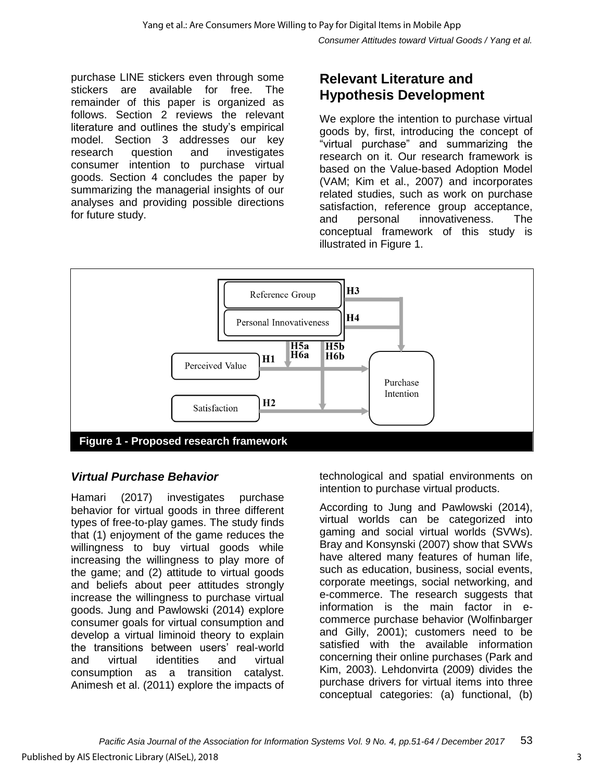purchase LINE stickers even through some stickers are available for free. The remainder of this paper is organized as follows. Section 2 reviews the relevant literature and outlines the study's empirical model. Section 3 addresses our key research question and investigates consumer intention to purchase virtual goods. Section 4 concludes the paper by summarizing the managerial insights of our analyses and providing possible directions for future study.

### **Relevant Literature and Hypothesis Development**

We explore the intention to purchase virtual goods by, first, introducing the concept of "virtual purchase" and summarizing the research on it. Our research framework is based on the Value-based Adoption Model (VAM; Kim et al., 2007) and incorporates related studies, such as work on purchase satisfaction, reference group acceptance, and personal innovativeness. The conceptual framework of this study is illustrated in Figure 1.



### *Virtual Purchase Behavior*

Hamari (2017) investigates purchase behavior for virtual goods in three different types of free-to-play games. The study finds that (1) enjoyment of the game reduces the willingness to buy virtual goods while increasing the willingness to play more of the game; and (2) attitude to virtual goods and beliefs about peer attitudes strongly increase the willingness to purchase virtual goods. Jung and Pawlowski (2014) explore consumer goals for virtual consumption and develop a virtual liminoid theory to explain the transitions between users' real-world and virtual identities and virtual consumption as a transition catalyst. Animesh et al. (2011) explore the impacts of

technological and spatial environments on intention to purchase virtual products.

According to Jung and Pawlowski (2014), virtual worlds can be categorized into gaming and social virtual worlds (SVWs). Bray and Konsynski (2007) show that SVWs have altered many features of human life, such as education, business, social events, corporate meetings, social networking, and e-commerce. The research suggests that information is the main factor in ecommerce purchase behavior (Wolfinbarger and Gilly, 2001); customers need to be satisfied with the available information concerning their online purchases (Park and Kim, 2003). Lehdonvirta (2009) divides the purchase drivers for virtual items into three conceptual categories: (a) functional, (b)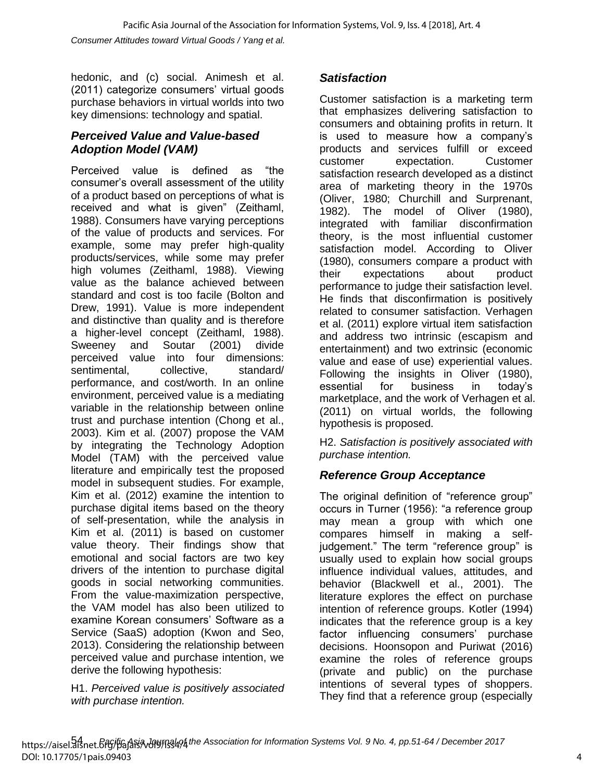hedonic, and (c) social. Animesh et al. (2011) categorize consumers' virtual goods purchase behaviors in virtual worlds into two key dimensions: technology and spatial.

### *Perceived Value and Value-based Adoption Model (VAM)*

Perceived value is defined as "the consumer's overall assessment of the utility of a product based on perceptions of what is received and what is given" (Zeithaml, 1988). Consumers have varying perceptions of the value of products and services. For example, some may prefer high-quality products/services, while some may prefer high volumes (Zeithaml, 1988). Viewing value as the balance achieved between standard and cost is too facile (Bolton and Drew, 1991). Value is more independent and distinctive than quality and is therefore a higher-level concept (Zeithaml, 1988). Sweeney and Soutar (2001) divide perceived value into four dimensions: sentimental, collective, standard/ performance, and cost/worth. In an online environment, perceived value is a mediating variable in the relationship between online trust and purchase intention (Chong et al., 2003). Kim et al. (2007) propose the VAM by integrating the Technology Adoption Model (TAM) with the perceived value literature and empirically test the proposed model in subsequent studies. For example, Kim et al. (2012) examine the intention to purchase digital items based on the theory of self-presentation, while the analysis in Kim et al. (2011) is based on customer value theory. Their findings show that emotional and social factors are two key drivers of the intention to purchase digital goods in social networking communities. From the value-maximization perspective, the VAM model has also been utilized to examine Korean consumers' Software as a Service (SaaS) adoption (Kwon and Seo, 2013). Considering the relationship between perceived value and purchase intention, we derive the following hypothesis:

H1. *Perceived value is positively associated with purchase intention.*

### *Satisfaction*

Customer satisfaction is a marketing term that emphasizes delivering satisfaction to consumers and obtaining profits in return. It is used to measure how a company's products and services fulfill or exceed customer expectation. Customer satisfaction research developed as a distinct area of marketing theory in the 1970s (Oliver, 1980; Churchill and Surprenant, 1982). The model of Oliver (1980), integrated with familiar disconfirmation theory, is the most influential customer satisfaction model. According to Oliver (1980), consumers compare a product with their expectations about product performance to judge their satisfaction level. He finds that disconfirmation is positively related to consumer satisfaction. Verhagen et al. (2011) explore virtual item satisfaction and address two intrinsic (escapism and entertainment) and two extrinsic (economic value and ease of use) experiential values. Following the insights in Oliver (1980), essential for business in today's marketplace, and the work of Verhagen et al. (2011) on virtual worlds, the following hypothesis is proposed.

H2. *Satisfaction is positively associated with purchase intention.*

### *Reference Group Acceptance*

The original definition of "reference group" occurs in Turner (1956): "a reference group may mean a group with which one compares himself in making a selfjudgement." The term "reference group" is usually used to explain how social groups influence individual values, attitudes, and behavior (Blackwell et al., 2001). The literature explores the effect on purchase intention of reference groups. Kotler (1994) indicates that the reference group is a key factor influencing consumers' purchase decisions. Hoonsopon and Puriwat (2016) examine the roles of reference groups (private and public) on the purchase intentions of several types of shoppers. They find that a reference group (especially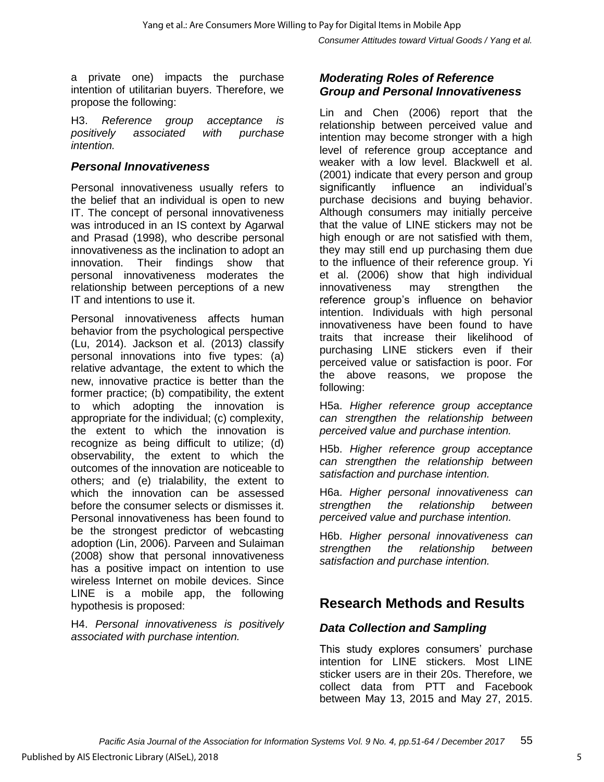a private one) impacts the purchase intention of utilitarian buyers. Therefore, we propose the following:

H3. *Reference group acceptance is positively associated with purchase intention.*

#### *Personal Innovativeness*

Personal innovativeness usually refers to the belief that an individual is open to new IT. The concept of personal innovativeness was introduced in an IS context by Agarwal and Prasad (1998), who describe personal innovativeness as the inclination to adopt an innovation. Their findings show that personal innovativeness moderates the relationship between perceptions of a new IT and intentions to use it.

Personal innovativeness affects human behavior from the psychological perspective (Lu, 2014). Jackson et al. (2013) classify personal innovations into five types: (a) relative advantage, the extent to which the new, innovative practice is better than the former practice; (b) compatibility, the extent to which adopting the innovation is appropriate for the individual; (c) complexity, the extent to which the innovation is recognize as being difficult to utilize; (d) observability, the extent to which the outcomes of the innovation are noticeable to others; and (e) trialability, the extent to which the innovation can be assessed before the consumer selects or dismisses it. Personal innovativeness has been found to be the strongest predictor of webcasting adoption (Lin, 2006). Parveen and Sulaiman (2008) show that personal innovativeness has a positive impact on intention to use wireless Internet on mobile devices. Since LINE is a mobile app, the following hypothesis is proposed:

H4. *Personal innovativeness is positively associated with purchase intention.*

#### *Moderating Roles of Reference Group and Personal Innovativeness*

Lin and Chen (2006) report that the relationship between perceived value and intention may become stronger with a high level of reference group acceptance and weaker with a low level. Blackwell et al. (2001) indicate that every person and group significantly influence an individual's purchase decisions and buying behavior. Although consumers may initially perceive that the value of LINE stickers may not be high enough or are not satisfied with them, they may still end up purchasing them due to the influence of their reference group. Yi et al. (2006) show that high individual innovativeness may strengthen the reference group's influence on behavior intention. Individuals with high personal innovativeness have been found to have traits that increase their likelihood of purchasing LINE stickers even if their perceived value or satisfaction is poor. For the above reasons, we propose the following:

H5a. *Higher reference group acceptance can strengthen the relationship between perceived value and purchase intention.*

H5b. *Higher reference group acceptance can strengthen the relationship between satisfaction and purchase intention.*

H6a. *Higher personal innovativeness can strengthen the relationship between perceived value and purchase intention.*

H6b. *Higher personal innovativeness can strengthen the relationship between satisfaction and purchase intention.*

### **Research Methods and Results**

### *Data Collection and Sampling*

This study explores consumers' purchase intention for LINE stickers. Most LINE sticker users are in their 20s. Therefore, we collect data from PTT and Facebook between May 13, 2015 and May 27, 2015.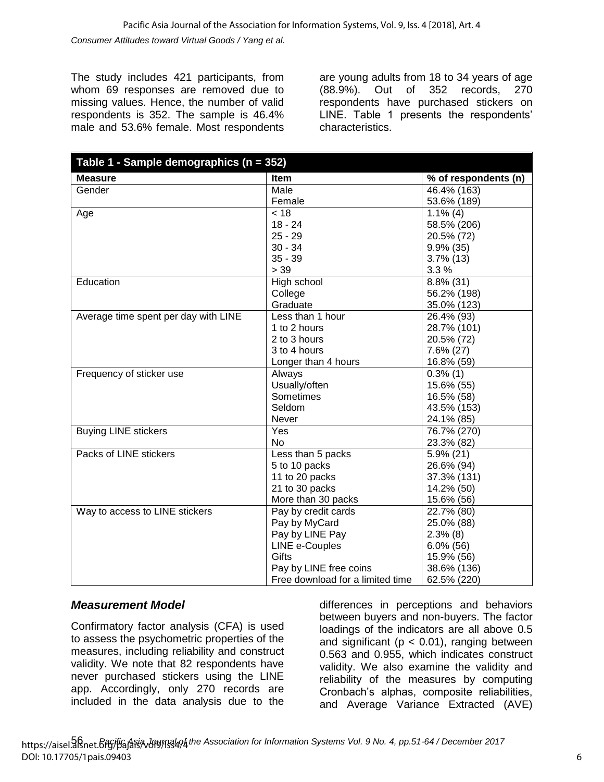The study includes 421 participants, from whom 69 responses are removed due to missing values. Hence, the number of valid respondents is 352. The sample is 46.4% male and 53.6% female. Most respondents

are young adults from 18 to 34 years of age (88.9%). Out of 352 records, 270 respondents have purchased stickers on LINE. Table 1 presents the respondents' characteristics.

| Table 1 - Sample demographics (n = 352) |                                  |                         |  |  |
|-----------------------------------------|----------------------------------|-------------------------|--|--|
| <b>Measure</b>                          | Item                             | % of respondents (n)    |  |  |
| Gender                                  | Male                             | 46.4% (163)             |  |  |
|                                         | Female                           | 53.6% (189)             |  |  |
| Age                                     | $\overline{<}$ 18                | $\overline{1}.1\%$ (4)  |  |  |
|                                         | $18 - 24$                        | 58.5% (206)             |  |  |
|                                         | $25 - 29$                        | 20.5% (72)              |  |  |
|                                         | $30 - 34$                        | 9.9% (35)               |  |  |
|                                         | $35 - 39$                        | $3.7\%$ (13)            |  |  |
|                                         | > 39                             | 3.3%                    |  |  |
| Education                               | High school                      | $8.8\%$ (31)            |  |  |
|                                         | College                          | 56.2% (198)             |  |  |
|                                         | Graduate                         | 35.0% (123)             |  |  |
| Average time spent per day with LINE    | Less than 1 hour                 | 26.4% (93)              |  |  |
|                                         | 1 to 2 hours                     | 28.7% (101)             |  |  |
|                                         | 2 to 3 hours                     | 20.5% (72)              |  |  |
|                                         | 3 to 4 hours                     | $7.6\% (27)$            |  |  |
|                                         | Longer than 4 hours              | 16.8% (59)              |  |  |
| Frequency of sticker use                | Always                           | $0.3\%$ (1)             |  |  |
|                                         | Usually/often                    | 15.6% (55)              |  |  |
|                                         | Sometimes                        | 16.5% (58)              |  |  |
|                                         | Seldom                           | 43.5% (153)             |  |  |
|                                         | Never                            | 24.1% (85)              |  |  |
| <b>Buying LINE stickers</b>             | $\overline{Y}$ es                | 76.7% (270)             |  |  |
|                                         | No                               | 23.3% (82)              |  |  |
| Packs of LINE stickers                  | Less than 5 packs                | $\overline{5.9\%}$ (21) |  |  |
|                                         | 5 to 10 packs                    | 26.6% (94)              |  |  |
|                                         | 11 to 20 packs                   | 37.3% (131)             |  |  |
|                                         | 21 to 30 packs                   | 14.2% (50)              |  |  |
|                                         | More than 30 packs               | 15.6% (56)              |  |  |
| Way to access to LINE stickers          | Pay by credit cards              | 22.7% (80)              |  |  |
|                                         | Pay by MyCard                    | 25.0% (88)              |  |  |
|                                         | Pay by LINE Pay                  | $2.3\%$ (8)             |  |  |
|                                         | LINE e-Couples                   | $6.0\%$ (56)            |  |  |
|                                         | Gifts                            | 15.9% (56)              |  |  |
|                                         | Pay by LINE free coins           | 38.6% (136)             |  |  |
|                                         | Free download for a limited time | 62.5% (220)             |  |  |

### *Measurement Model*

Confirmatory factor analysis (CFA) is used to assess the psychometric properties of the measures, including reliability and construct validity. We note that 82 respondents have never purchased stickers using the LINE app. Accordingly, only 270 records are included in the data analysis due to the differences in perceptions and behaviors between buyers and non-buyers. The factor loadings of the indicators are all above 0.5 and significant ( $p < 0.01$ ), ranging between 0.563 and 0.955, which indicates construct validity. We also examine the validity and reliability of the measures by computing Cronbach's alphas, composite reliabilities, and Average Variance Extracted (AVE)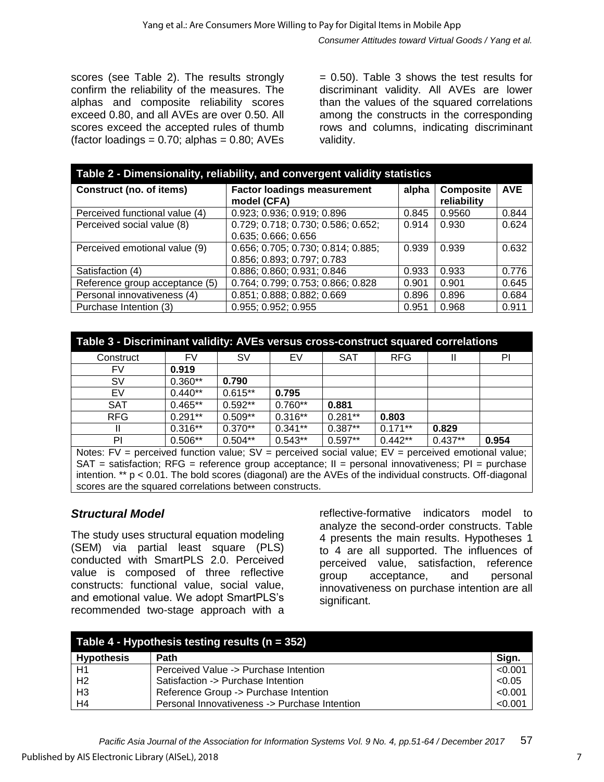scores (see Table 2). The results strongly confirm the reliability of the measures. The alphas and composite reliability scores exceed 0.80, and all AVEs are over 0.50. All scores exceed the accepted rules of thumb (factor loadings =  $0.70$ ; alphas =  $0.80$ ; AVEs

= 0.50). Table 3 shows the test results for discriminant validity. All AVEs are lower than the values of the squared correlations among the constructs in the corresponding rows and columns, indicating discriminant validity.

| Table 2 - Dimensionality, reliability, and convergent validity statistics |                                                   |       |                                 |            |  |  |
|---------------------------------------------------------------------------|---------------------------------------------------|-------|---------------------------------|------------|--|--|
| Construct (no. of items)                                                  | <b>Factor loadings measurement</b><br>model (CFA) | alpha | <b>Composite</b><br>reliability | <b>AVE</b> |  |  |
| Perceived functional value (4)                                            | 0.923; 0.936; 0.919; 0.896                        | 0.845 | 0.9560                          | 0.844      |  |  |
| Perceived social value (8)                                                | 0.729; 0.718; 0.730; 0.586; 0.652;                | 0.914 | 0.930                           | 0.624      |  |  |
|                                                                           | 0.635; 0.666; 0.656                               |       |                                 |            |  |  |
| Perceived emotional value (9)                                             | 0.656; 0.705; 0.730; 0.814; 0.885;                | 0.939 | 0.939                           | 0.632      |  |  |
|                                                                           | 0.856; 0.893; 0.797; 0.783                        |       |                                 |            |  |  |
| Satisfaction (4)                                                          | 0.886; 0.860; 0.931; 0.846                        | 0.933 | 0.933                           | 0.776      |  |  |
| Reference group acceptance (5)                                            | 0.764; 0.799; 0.753; 0.866; 0.828                 | 0.901 | 0.901                           | 0.645      |  |  |
| Personal innovativeness (4)                                               | 0.851; 0.888; 0.882; 0.669                        | 0.896 | 0.896                           | 0.684      |  |  |
| Purchase Intention (3)                                                    | 0.955; 0.952; 0.955                               | 0.951 | 0.968                           | 0.911      |  |  |

| Table 3 - Discriminant validity: AVEs versus cross-construct squared correlations        |       |  |  |  |  |  |
|------------------------------------------------------------------------------------------|-------|--|--|--|--|--|
| FV<br>EV<br><b>SAT</b><br><b>RFG</b><br><b>SV</b><br>Construct                           | PI    |  |  |  |  |  |
| 0.919<br>FV                                                                              |       |  |  |  |  |  |
| $0.360**$<br>0.790<br><b>SV</b>                                                          |       |  |  |  |  |  |
| $0.615**$<br>$0.440**$<br>EV<br>0.795                                                    |       |  |  |  |  |  |
| $0.465**$<br>$0.592**$<br>$0.760**$<br><b>SAT</b><br>0.881                               |       |  |  |  |  |  |
| $0.291**$<br>$0.509**$<br>$0.316**$<br>$0.281**$<br><b>RFG</b><br>0.803                  |       |  |  |  |  |  |
| $0.341**$<br>$0.316**$<br>$0.370**$<br>$0.387**$<br>$0.171**$<br>0.829                   |       |  |  |  |  |  |
| $0.506**$<br>$0.504**$<br>$0.543**$<br>$0.442**$<br>$0.437**$<br>PI<br>$0.597**$<br>$ -$ | 0.954 |  |  |  |  |  |

Notes:  $FV =$  perceived function value;  $SV =$  perceived social value;  $EV =$  perceived emotional value;  $SAT = satisfaction$ :  $RFG = reference$  group acceptance;  $II = personal$  innovativeness;  $PI = purchase$ intention. \*\* p < 0.01. The bold scores (diagonal) are the AVEs of the individual constructs. Off-diagonal scores are the squared correlations between constructs.

### *Structural Model*

The study uses structural equation modeling (SEM) via partial least square (PLS) conducted with SmartPLS 2.0. Perceived value is composed of three reflective constructs: functional value, social value, and emotional value. We adopt SmartPLS's recommended two-stage approach with a reflective-formative indicators model to analyze the second-order constructs. Table 4 presents the main results. Hypotheses 1 to 4 are all supported. The influences of perceived value, satisfaction, reference group acceptance, and personal innovativeness on purchase intention are all significant.

| Table 4 - Hypothesis testing results ( $n = 352$ ) |                                               |         |  |  |
|----------------------------------------------------|-----------------------------------------------|---------|--|--|
| <b>Hypothesis</b>                                  | <b>Path</b>                                   | Sign.   |  |  |
| H1                                                 | Perceived Value -> Purchase Intention         | < 0.001 |  |  |
| H <sub>2</sub>                                     | Satisfaction -> Purchase Intention            | < 0.05  |  |  |
| H <sub>3</sub>                                     | Reference Group -> Purchase Intention         | < 0.001 |  |  |
| H <sub>4</sub>                                     | Personal Innovativeness -> Purchase Intention | < 0.001 |  |  |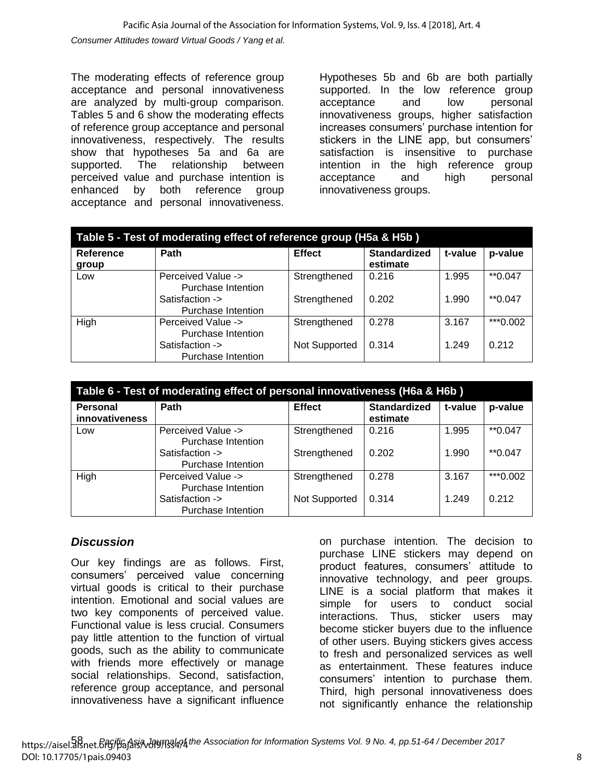The moderating effects of reference group acceptance and personal innovativeness are analyzed by multi-group comparison. Tables 5 and 6 show the moderating effects of reference group acceptance and personal innovativeness, respectively. The results show that hypotheses 5a and 6a are supported. The relationship between perceived value and purchase intention is enhanced by both reference group acceptance and personal innovativeness. Hypotheses 5b and 6b are both partially supported. In the low reference group acceptance and low personal innovativeness groups, higher satisfaction increases consumers' purchase intention for stickers in the LINE app, but consumers' satisfaction is insensitive to purchase intention in the high reference group acceptance and high personal innovativeness groups.

| Table 5 - Test of moderating effect of reference group (H5a & H5b) |                                          |               |                                 |         |           |  |
|--------------------------------------------------------------------|------------------------------------------|---------------|---------------------------------|---------|-----------|--|
| <b>Reference</b><br>group                                          | Path                                     | <b>Effect</b> | <b>Standardized</b><br>estimate | t-value | p-value   |  |
| Low                                                                | Perceived Value -><br>Purchase Intention | Strengthened  | 0.216                           | 1.995   | $*$ 0.047 |  |
|                                                                    | Satisfaction -><br>Purchase Intention    | Strengthened  | 0.202                           | 1.990   | $*$ 0.047 |  |
| High                                                               | Perceived Value -><br>Purchase Intention | Strengthened  | 0.278                           | 3.167   | ***0.002  |  |
|                                                                    | Satisfaction -><br>Purchase Intention    | Not Supported | 0.314                           | 1.249   | 0.212     |  |

| Table 6 - Test of moderating effect of personal innovativeness (H6a & H6b) |                                          |               |                                 |         |           |  |
|----------------------------------------------------------------------------|------------------------------------------|---------------|---------------------------------|---------|-----------|--|
| <b>Personal</b><br>innovativeness                                          | Path                                     | <b>Effect</b> | <b>Standardized</b><br>estimate | t-value | p-value   |  |
| Low                                                                        | Perceived Value -><br>Purchase Intention | Strengthened  | 0.216                           | 1.995   | $*$ 0.047 |  |
|                                                                            | Satisfaction -><br>Purchase Intention    | Strengthened  | 0.202                           | 1.990   | $*$ 0.047 |  |
| High                                                                       | Perceived Value -><br>Purchase Intention | Strengthened  | 0.278                           | 3.167   | ***0.002  |  |
|                                                                            | Satisfaction -><br>Purchase Intention    | Not Supported | 0.314                           | 1.249   | 0.212     |  |

### *Discussion*

Our key findings are as follows. First, consumers' perceived value concerning virtual goods is critical to their purchase intention. Emotional and social values are two key components of perceived value. Functional value is less crucial. Consumers pay little attention to the function of virtual goods, such as the ability to communicate with friends more effectively or manage social relationships. Second, satisfaction, reference group acceptance, and personal innovativeness have a significant influence

on purchase intention. The decision to purchase LINE stickers may depend on product features, consumers' attitude to innovative technology, and peer groups. LINE is a social platform that makes it simple for users to conduct social interactions. Thus, sticker users may become sticker buyers due to the influence of other users. Buying stickers gives access to fresh and personalized services as well as entertainment. These features induce consumers' intention to purchase them. Third, high personal innovativeness does not significantly enhance the relationship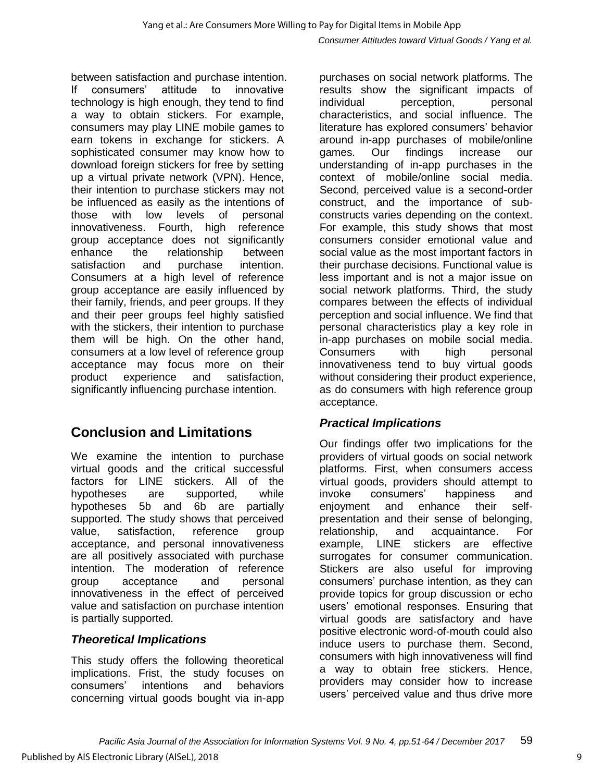between satisfaction and purchase intention. If consumers' attitude to innovative technology is high enough, they tend to find a way to obtain stickers. For example, consumers may play LINE mobile games to earn tokens in exchange for stickers. A sophisticated consumer may know how to download foreign stickers for free by setting up a virtual private network (VPN). Hence, their intention to purchase stickers may not be influenced as easily as the intentions of those with low levels of personal innovativeness. Fourth, high reference group acceptance does not significantly enhance the relationship between satisfaction and purchase intention. Consumers at a high level of reference group acceptance are easily influenced by their family, friends, and peer groups. If they and their peer groups feel highly satisfied with the stickers, their intention to purchase them will be high. On the other hand, consumers at a low level of reference group acceptance may focus more on their product experience and satisfaction, significantly influencing purchase intention.

### **Conclusion and Limitations**

We examine the intention to purchase virtual goods and the critical successful factors for LINE stickers. All of the hypotheses are supported, while hypotheses 5b and 6b are partially supported. The study shows that perceived value, satisfaction, reference group acceptance, and personal innovativeness are all positively associated with purchase intention. The moderation of reference group acceptance and personal innovativeness in the effect of perceived value and satisfaction on purchase intention is partially supported.

### *Theoretical Implications*

This study offers the following theoretical implications. Frist, the study focuses on consumers' intentions and behaviors concerning virtual goods bought via in-app

purchases on social network platforms. The results show the significant impacts of individual perception, personal characteristics, and social influence. The literature has explored consumers' behavior around in-app purchases of mobile/online games. Our findings increase our understanding of in-app purchases in the context of mobile/online social media. Second, perceived value is a second-order construct, and the importance of subconstructs varies depending on the context. For example, this study shows that most consumers consider emotional value and social value as the most important factors in their purchase decisions. Functional value is less important and is not a major issue on social network platforms. Third, the study compares between the effects of individual perception and social influence. We find that personal characteristics play a key role in in-app purchases on mobile social media. Consumers with high personal innovativeness tend to buy virtual goods without considering their product experience, as do consumers with high reference group acceptance.

### *Practical Implications*

Our findings offer two implications for the providers of virtual goods on social network platforms. First, when consumers access virtual goods, providers should attempt to invoke consumers' happiness and<br>eniovment and enhance their selfenjoyment and enhance their presentation and their sense of belonging, relationship, and acquaintance. For example, LINE stickers are effective surrogates for consumer communication. Stickers are also useful for improving consumers' purchase intention, as they can provide topics for group discussion or echo users' emotional responses. Ensuring that virtual goods are satisfactory and have positive electronic word-of-mouth could also induce users to purchase them. Second, consumers with high innovativeness will find a way to obtain free stickers. Hence, providers may consider how to increase users' perceived value and thus drive more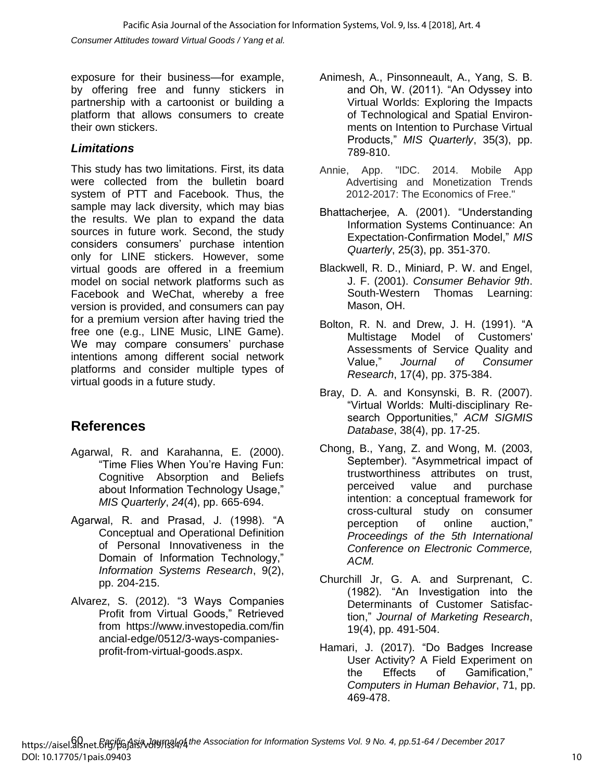exposure for their business—for example, by offering free and funny stickers in partnership with a cartoonist or building a platform that allows consumers to create their own stickers.

### *Limitations*

This study has two limitations. First, its data were collected from the bulletin board system of PTT and Facebook. Thus, the sample may lack diversity, which may bias the results. We plan to expand the data sources in future work. Second, the study considers consumers' purchase intention only for LINE stickers. However, some virtual goods are offered in a freemium model on social network platforms such as Facebook and WeChat, whereby a free version is provided, and consumers can pay for a premium version after having tried the free one (e.g., LINE Music, LINE Game). We may compare consumers' purchase intentions among different social network platforms and consider multiple types of virtual goods in a future study.

### **References**

- Agarwal, R. and Karahanna, E. (2000). "Time Flies When You're Having Fun: Cognitive Absorption and Beliefs about Information Technology Usage," *MIS Quarterly*, *24*(4), pp. 665-694.
- Agarwal, R. and Prasad, J. (1998). "A Conceptual and Operational Definition of Personal Innovativeness in the Domain of Information Technology," *Information Systems Research*, 9(2), pp. 204-215.
- Alvarez, S. (2012). "3 Ways Companies Profit from Virtual Goods," Retrieved from https://www.investopedia.com/fin ancial-edge/0512/3-ways-companiesprofit-from-virtual-goods.aspx.
- Animesh, A., Pinsonneault, A., Yang, S. B. and Oh, W. (2011). "An Odyssey into Virtual Worlds: Exploring the Impacts of Technological and Spatial Environments on Intention to Purchase Virtual Products," *MIS Quarterly*, 35(3), pp. 789-810.
- Annie, App. "IDC. 2014. Mobile App Advertising and Monetization Trends 2012-2017: The Economics of Free."
- Bhattacherjee, A. (2001). "Understanding Information Systems Continuance: An Expectation-Confirmation Model," *MIS Quarterly*, 25(3), pp. 351-370.
- Blackwell, R. D., Miniard, P. W. and Engel, J. F. (2001). *Consumer Behavior 9th*. South-Western Thomas Learning: Mason, OH.
- Bolton, R. N. and Drew, J. H. (1991). "A Multistage Model of Customers' Assessments of Service Quality and Value," *Journal of Consumer Research*, 17(4), pp. 375-384.
- Bray, D. A. and Konsynski, B. R. (2007). "Virtual Worlds: Multi-disciplinary Research Opportunities," *ACM SIGMIS Database*, 38(4), pp. 17-25.
- Chong, B., Yang, Z. and Wong, M. (2003, September). "Asymmetrical impact of trustworthiness attributes on trust, perceived value and purchase intention: a conceptual framework for cross-cultural study on consumer perception of online auction," *Proceedings of the 5th International Conference on Electronic Commerce, ACM.*
- Churchill Jr, G. A. and Surprenant, C. (1982). "An Investigation into the Determinants of Customer Satisfaction," *Journal of Marketing Research*, 19(4), pp. 491-504.
- Hamari, J. (2017). "Do Badges Increase User Activity? A Field Experiment on the Effects of Gamification," *Computers in Human Behavior*, 71, pp. 469-478.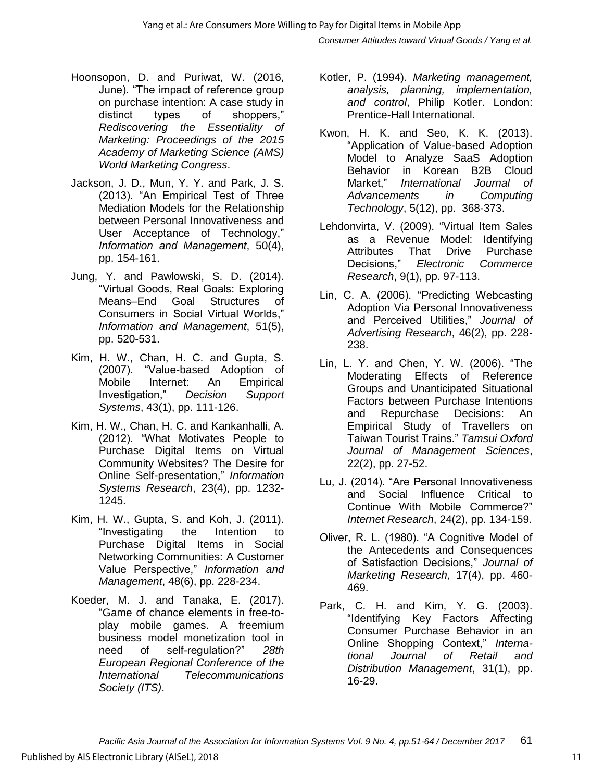*Consumer Attitudes toward Virtual Goods / Yang et al.*

- Hoonsopon, D. and Puriwat, W. (2016, June). "The impact of reference group on purchase intention: A case study in distinct types of shoppers," *Rediscovering the Essentiality of Marketing: Proceedings of the 2015 Academy of Marketing Science (AMS) World Marketing Congress*.
- Jackson, J. D., Mun, Y. Y. and Park, J. S. (2013). "An Empirical Test of Three Mediation Models for the Relationship between Personal Innovativeness and User Acceptance of Technology," *Information and Management*, 50(4), pp. 154-161.
- Jung, Y. and Pawlowski, S. D. (2014). "Virtual Goods, Real Goals: Exploring Means–End Goal Structures of Consumers in Social Virtual Worlds," *Information and Management*, 51(5), pp. 520-531.
- Kim, H. W., Chan, H. C. and Gupta, S. (2007). "Value-based Adoption of Mobile Internet: An Empirical Investigation," *Decision Support Systems*, 43(1), pp. 111-126.
- Kim, H. W., Chan, H. C. and Kankanhalli, A. (2012). "What Motivates People to Purchase Digital Items on Virtual Community Websites? The Desire for Online Self-presentation," *Information Systems Research*, 23(4), pp. 1232- 1245.
- Kim, H. W., Gupta, S. and Koh, J. (2011). "Investigating the Intention to Purchase Digital Items in Social Networking Communities: A Customer Value Perspective," *Information and Management*, 48(6), pp. 228-234.
- Koeder, M. J. and Tanaka, E. (2017). "Game of chance elements in free-toplay mobile games. A freemium business model monetization tool in need of self-regulation?" *28th European Regional Conference of the International Telecommunications Society (ITS)*.
- Kotler, P. (1994). *Marketing management, analysis, planning, implementation, and control*, Philip Kotler. London: Prentice-Hall International.
- Kwon, H. K. and Seo, K. K. (2013). "Application of Value-based Adoption Model to Analyze SaaS Adoption Behavior in Korean B2B Cloud Market," *International Journal of Advancements in Computing Technology*, 5(12), pp. 368-373.
- Lehdonvirta, V. (2009). "Virtual Item Sales as a Revenue Model: Identifying Attributes That Drive Purchase Decisions," *Electronic Commerce Research*, 9(1), pp. 97-113.
- Lin, C. A. (2006). "Predicting Webcasting Adoption Via Personal Innovativeness and Perceived Utilities," *Journal of Advertising Research*, 46(2), pp. 228- 238.
- Lin, L. Y. and Chen, Y. W. (2006). "The Moderating Effects of Reference Groups and Unanticipated Situational Factors between Purchase Intentions and Repurchase Decisions: An Empirical Study of Travellers on Taiwan Tourist Trains." *Tamsui Oxford Journal of Management Sciences*, 22(2), pp. 27-52.
- Lu, J. (2014). "Are Personal Innovativeness and Social Influence Critical to Continue With Mobile Commerce?" *Internet Research*, 24(2), pp. 134-159.
- Oliver, R. L. (1980). "A Cognitive Model of the Antecedents and Consequences of Satisfaction Decisions," *Journal of Marketing Research*, 17(4), pp. 460- 469.
- Park, C. H. and Kim, Y. G. (2003). "Identifying Key Factors Affecting Consumer Purchase Behavior in an Online Shopping Context," *International Journal of Retail and Distribution Management*, 31(1), pp. 16-29.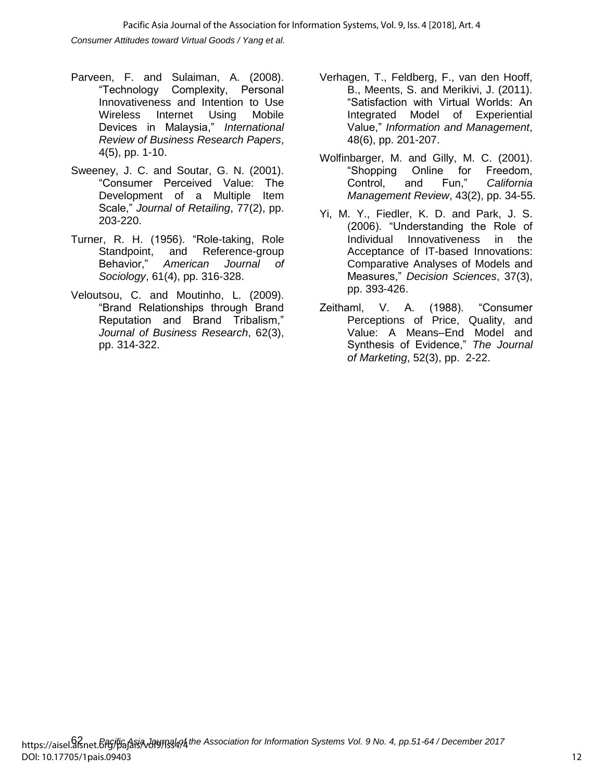*Consumer Attitudes toward Virtual Goods / Yang et al.* Pacific Asia Journal of the Association for Information Systems, Vol. 9, Iss. 4 [2018], Art. 4

- Parveen, F. and Sulaiman, A. (2008). "Technology Complexity, Personal Innovativeness and Intention to Use Wireless Internet Using Mobile Devices in Malaysia," *International Review of Business Research Papers*, 4(5), pp. 1-10.
- Sweeney, J. C. and Soutar, G. N. (2001). "Consumer Perceived Value: The Development of a Multiple Item Scale," *Journal of Retailing*, 77(2), pp. 203-220.
- Turner, R. H. (1956). "Role-taking, Role Standpoint, and Reference-group Behavior," *American Journal of Sociology*, 61(4), pp. 316-328.
- Veloutsou, C. and Moutinho, L. (2009). "Brand Relationships through Brand Reputation and Brand Tribalism," *Journal of Business Research*, 62(3), pp. 314-322.
- Verhagen, T., Feldberg, F., van den Hooff, B., Meents, S. and Merikivi, J. (2011). "Satisfaction with Virtual Worlds: An Integrated Model of Experiential Value," *Information and Management*, 48(6), pp. 201-207.
- Wolfinbarger, M. and Gilly, M. C. (2001). "Shopping Online for Freedom, Control, and Fun," *California Management Review*, 43(2), pp. 34-55.
- Yi, M. Y., Fiedler, K. D. and Park, J. S. (2006). "Understanding the Role of Individual Innovativeness in the Acceptance of IT-based Innovations: Comparative Analyses of Models and Measures," *Decision Sciences*, 37(3), pp. 393-426.
- Zeithaml, V. A. (1988). "Consumer Perceptions of Price, Quality, and Value: A Means–End Model and Synthesis of Evidence," *The Journal of Marketing*, 52(3), pp. 2-22.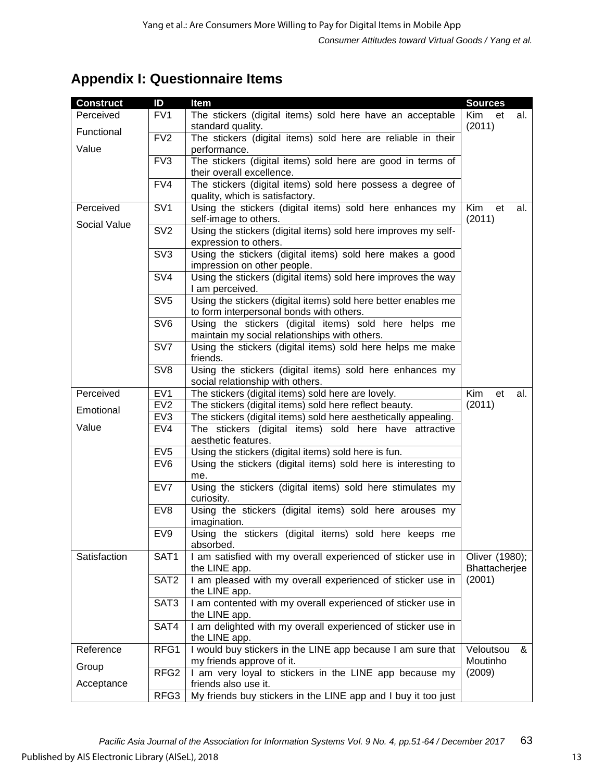## **Appendix I: Questionnaire Items**

| <b>Construct</b> | ID                      | Item                                                                              | <b>Sources</b>      |     |
|------------------|-------------------------|-----------------------------------------------------------------------------------|---------------------|-----|
| Perceived        | FV <sub>1</sub>         | The stickers (digital items) sold here have an acceptable                         | Kim<br>et           | al. |
| Functional       |                         | standard quality.                                                                 | (2011)              |     |
|                  | FV2                     | The stickers (digital items) sold here are reliable in their                      |                     |     |
| Value            |                         | performance.                                                                      |                     |     |
|                  | FV3                     | The stickers (digital items) sold here are good in terms of                       |                     |     |
|                  |                         | their overall excellence.                                                         |                     |     |
|                  | FV4                     | The stickers (digital items) sold here possess a degree of                        |                     |     |
|                  |                         | quality, which is satisfactory.                                                   |                     |     |
| Perceived        | SV <sub>1</sub>         | Using the stickers (digital items) sold here enhances my<br>self-image to others. | Kim<br>et<br>(2011) | al. |
| Social Value     | SV <sub>2</sub>         | Using the stickers (digital items) sold here improves my self-                    |                     |     |
|                  |                         | expression to others.                                                             |                     |     |
|                  | SV <sub>3</sub>         | Using the stickers (digital items) sold here makes a good                         |                     |     |
|                  |                         | impression on other people.                                                       |                     |     |
|                  | $\overline{\text{SV4}}$ | Using the stickers (digital items) sold here improves the way                     |                     |     |
|                  |                         | I am perceived.                                                                   |                     |     |
|                  | SV <sub>5</sub>         | Using the stickers (digital items) sold here better enables me                    |                     |     |
|                  |                         | to form interpersonal bonds with others.                                          |                     |     |
|                  | SV <sub>6</sub>         | Using the stickers (digital items) sold here helps me                             |                     |     |
|                  |                         | maintain my social relationships with others.                                     |                     |     |
|                  | SV7                     | Using the stickers (digital items) sold here helps me make<br>friends.            |                     |     |
|                  | SV <sub>8</sub>         | Using the stickers (digital items) sold here enhances my                          |                     |     |
|                  |                         | social relationship with others.                                                  |                     |     |
| Perceived        | EV <sub>1</sub>         | The stickers (digital items) sold here are lovely.                                | Kim<br>et           | al. |
|                  | EV <sub>2</sub>         | The stickers (digital items) sold here reflect beauty.                            | (2011)              |     |
| Emotional        | EV <sub>3</sub>         | The stickers (digital items) sold here aesthetically appealing.                   |                     |     |
| Value            | EV4                     | The stickers (digital items) sold here have attractive                            |                     |     |
|                  |                         | aesthetic features.                                                               |                     |     |
|                  | EV <sub>5</sub>         | Using the stickers (digital items) sold here is fun.                              |                     |     |
|                  | EV6                     | Using the stickers (digital items) sold here is interesting to                    |                     |     |
|                  |                         | me.                                                                               |                     |     |
|                  | EV7                     | Using the stickers (digital items) sold here stimulates my                        |                     |     |
|                  | EV <sub>8</sub>         | curiosity.<br>Using the stickers (digital items) sold here arouses my             |                     |     |
|                  |                         | imagination.                                                                      |                     |     |
|                  | EV9                     | Using the stickers (digital items) sold here keeps me                             |                     |     |
|                  |                         | absorbed.                                                                         |                     |     |
| Satisfaction     | SAT <sub>1</sub>        | I am satisfied with my overall experienced of sticker use in                      | Oliver (1980);      |     |
|                  |                         | the LINE app.                                                                     | Bhattacherjee       |     |
|                  | SAT <sub>2</sub>        | I am pleased with my overall experienced of sticker use in                        | (2001)              |     |
|                  |                         | the LINE app.                                                                     |                     |     |
|                  | SAT3                    | I am contented with my overall experienced of sticker use in                      |                     |     |
|                  |                         | the LINE app.                                                                     |                     |     |
|                  | SAT4                    | I am delighted with my overall experienced of sticker use in                      |                     |     |
| Reference        | RFG1                    | the LINE app.<br>I would buy stickers in the LINE app because I am sure that      | Veloutsou           | &   |
|                  |                         | my friends approve of it.                                                         | Moutinho            |     |
| Group            | RFG <sub>2</sub>        | I am very loyal to stickers in the LINE app because my                            | (2009)              |     |
| Acceptance       |                         | friends also use it.                                                              |                     |     |
|                  | RFG3                    | My friends buy stickers in the LINE app and I buy it too just                     |                     |     |